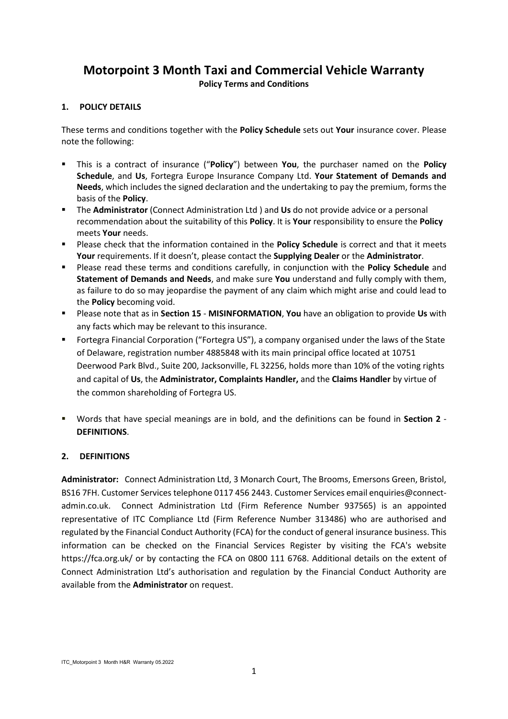# **Motorpoint 3 Month Taxi and Commercial Vehicle Warranty**

**Policy Terms and Conditions**

# **1. POLICY DETAILS**

These terms and conditions together with the **Policy Schedule** sets out **Your** insurance cover. Please note the following:

- This is a contract of insurance ("**Policy**") between **You**, the purchaser named on the **Policy Schedule**, and **Us**, Fortegra Europe Insurance Company Ltd. **Your Statement of Demands and Needs**, which includes the signed declaration and the undertaking to pay the premium, forms the basis of the **Policy**.
- The **Administrator** (Connect Administration Ltd ) and **Us** do not provide advice or a personal recommendation about the suitability of this **Policy**. It is **Your** responsibility to ensure the **Policy** meets **Your** needs.
- Please check that the information contained in the **Policy Schedule** is correct and that it meets **Your** requirements. If it doesn't, please contact the **Supplying Dealer** or the **Administrator**.
- Please read these terms and conditions carefully, in conjunction with the **Policy Schedule** and **Statement of Demands and Needs**, and make sure **You** understand and fully comply with them, as failure to do so may jeopardise the payment of any claim which might arise and could lead to the **Policy** becoming void.
- Please note that as in **Section 15 MISINFORMATION**, **You** have an obligation to provide **Us** with any facts which may be relevant to this insurance.
- Fortegra Financial Corporation ("Fortegra US"), a company organised under the laws of the State of Delaware, registration number 4885848 with its main principal office located at 10751 Deerwood Park Blvd., Suite 200, Jacksonville, FL 32256, holds more than 10% of the voting rights and capital of **Us**, the **Administrator, Complaints Handler,** and the **Claims Handler** by virtue of the common shareholding of Fortegra US.
- Words that have special meanings are in bold, and the definitions can be found in **Section 2 DEFINITIONS**.

# **2. DEFINITIONS**

**Administrator:** Connect Administration Ltd, 3 Monarch Court, The Brooms, Emersons Green, Bristol, BS16 7FH. Customer Services telephone 0117 456 2443. Customer Services email enquiries@connectadmin.co.uk. Connect Administration Ltd (Firm Reference Number 937565) is an appointed representative of ITC Compliance Ltd (Firm Reference Number 313486) who are authorised and regulated by the Financial Conduct Authority (FCA) for the conduct of general insurance business. This information can be checked on the Financial Services Register by visiting the FCA's website https://fca.org.uk/ or by contacting the FCA on 0800 111 6768. Additional details on the extent of Connect Administration Ltd's authorisation and regulation by the Financial Conduct Authority are available from the **Administrator** on request.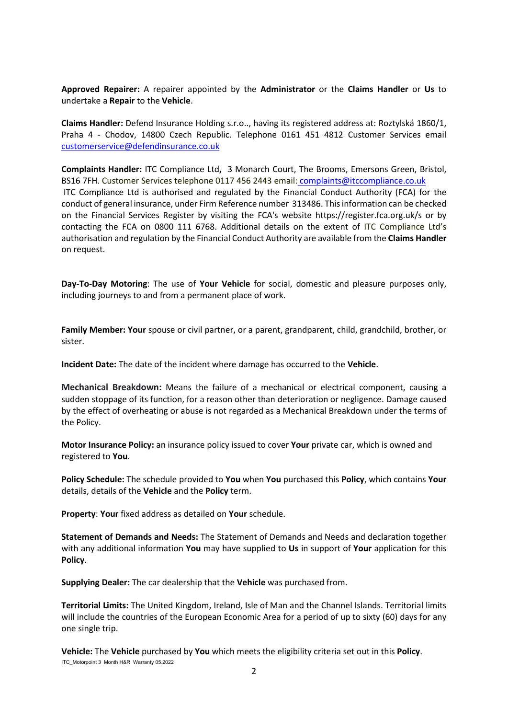**Approved Repairer:** A repairer appointed by the **Administrator** or the **Claims Handler** or **Us** to undertake a **Repair** to the **Vehicle**.

**Claims Handler:** Defend Insurance Holding s.r.o.., having its registered address at: Roztylská 1860/1, Praha 4 - Chodov, 14800 Czech Republic. Telephone 0161 451 4812 Customer Services email [customerservice@defendinsurance.co.uk](mailto:customerservice@defendinsurance.co.uk)

**Complaints Handler:** ITC Compliance Ltd**,** 3 Monarch Court, The Brooms, Emersons Green, Bristol, BS16 7FH. Customer Services telephone 0117 456 2443 email: [complaints@itccompliance.co.uk](mailto:complaints@itccompliance.co.uk) ITC Compliance Ltd is authorised and regulated by the Financial Conduct Authority (FCA) for the conduct of general insurance, under Firm Reference number 313486. This information can be checked on the Financial Services Register by visiting the FCA's website https://register.fca.org.uk/s or by contacting the FCA on 0800 111 6768. Additional details on the extent of ITC Compliance Ltd's authorisation and regulation by the Financial Conduct Authority are available from the **Claims Handler** on request.

**Day-To-Day Motoring**: The use of **Your Vehicle** for social, domestic and pleasure purposes only, including journeys to and from a permanent place of work.

**Family Member: Your** spouse or civil partner, or a parent, grandparent, child, grandchild, brother, or sister.

**Incident Date:** The date of the incident where damage has occurred to the **Vehicle**.

**Mechanical Breakdown:** Means the failure of a mechanical or electrical component, causing a sudden stoppage of its function, for a reason other than deterioration or negligence. Damage caused by the effect of overheating or abuse is not regarded as a Mechanical Breakdown under the terms of the Policy.

**Motor Insurance Policy:** an insurance policy issued to cover **Your** private car, which is owned and registered to **You**.

**Policy Schedule:** The schedule provided to **You** when **You** purchased this **Policy**, which contains **Your** details, details of the **Vehicle** and the **Policy** term.

**Property**: **Your** fixed address as detailed on **Your** schedule.

**Statement of Demands and Needs:** The Statement of Demands and Needs and declaration together with any additional information **You** may have supplied to **Us** in support of **Your** application for this **Policy**.

**Supplying Dealer:** The car dealership that the **Vehicle** was purchased from.

**Territorial Limits:** The United Kingdom, Ireland, Isle of Man and the Channel Islands. Territorial limits will include the countries of the European Economic Area for a period of up to sixty (60) days for any one single trip.

ITC\_Motorpoint 3 Month H&R Warranty 05.2022 **Vehicle:** The **Vehicle** purchased by **You** which meets the eligibility criteria set out in this **Policy**.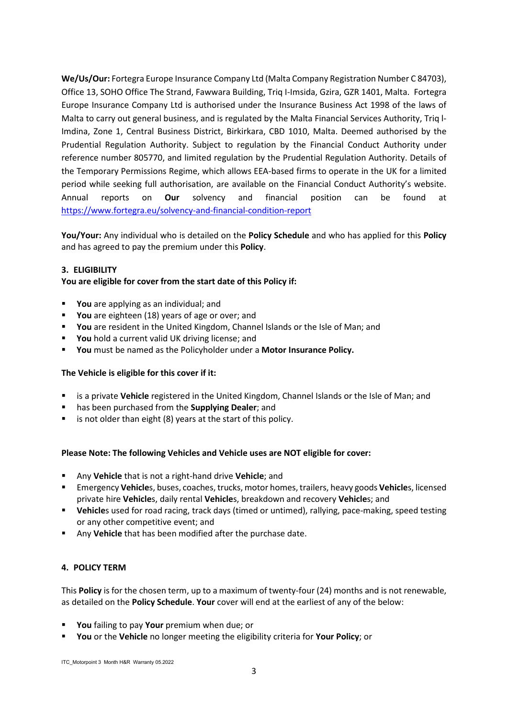**We/Us/Our:** Fortegra Europe Insurance Company Ltd (Malta Company Registration Number C 84703), Office 13, SOHO Office The Strand, Fawwara Building, Triq I-Imsida, Gzira, GZR 1401, Malta. Fortegra Europe Insurance Company Ltd is authorised under the Insurance Business Act 1998 of the laws of Malta to carry out general business, and is regulated by the Malta Financial Services Authority, Triq l-Imdina, Zone 1, Central Business District, Birkirkara, CBD 1010, Malta. Deemed authorised by the Prudential Regulation Authority. Subject to regulation by the Financial Conduct Authority under reference number 805770, and limited regulation by the Prudential Regulation Authority. Details of the Temporary Permissions Regime, which allows EEA-based firms to operate in the UK for a limited period while seeking full authorisation, are available on the Financial Conduct Authority's website. Annual reports on **Our** solvency and financial position can be found at <https://www.fortegra.eu/solvency-and-financial-condition-report>

**You/Your:** Any individual who is detailed on the **Policy Schedule** and who has applied for this **Policy** and has agreed to pay the premium under this **Policy**.

## **3. ELIGIBILITY**

## **You are eligible for cover from the start date of this Policy if:**

- **You** are applying as an individual; and
- **You** are eighteen (18) years of age or over; and
- **You** are resident in the United Kingdom, Channel Islands or the Isle of Man; and
- **You** hold a current valid UK driving license; and
- **You** must be named as the Policyholder under a **Motor Insurance Policy.**

## **The Vehicle is eligible for this cover if it:**

- is a private **Vehicle** registered in the United Kingdom, Channel Islands or the Isle of Man; and
- has been purchased from the **Supplying Dealer**; and
- is not older than eight (8) years at the start of this policy.

## **Please Note: The following Vehicles and Vehicle uses are NOT eligible for cover:**

- Any **Vehicle** that is not a right-hand drive **Vehicle**; and
- Emergency **Vehicle**s, buses, coaches, trucks, motor homes, trailers, heavy goods **Vehicle**s, licensed private hire **Vehicle**s, daily rental **Vehicle**s, breakdown and recovery **Vehicle**s; and
- **Vehicle**s used for road racing, track days (timed or untimed), rallying, pace-making, speed testing or any other competitive event; and
- Any **Vehicle** that has been modified after the purchase date.

## **4. POLICY TERM**

This **Policy** is for the chosen term, up to a maximum of twenty-four (24) months and is not renewable, as detailed on the **Policy Schedule**. **Your** cover will end at the earliest of any of the below:

- **You** failing to pay **Your** premium when due; or
- **You** or the **Vehicle** no longer meeting the eligibility criteria for **Your Policy**; or

ITC\_Motorpoint 3 Month H&R Warranty 05.2022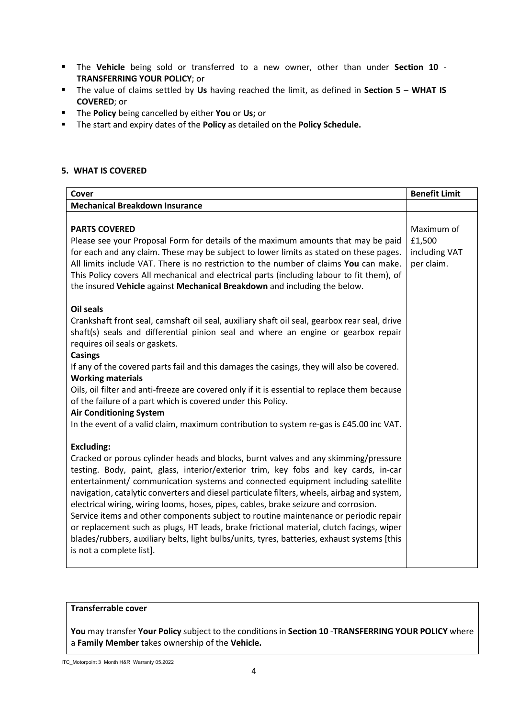- The **Vehicle** being sold or transferred to a new owner, other than under **Section 10 TRANSFERRING YOUR POLICY**; or
- The value of claims settled by **Us** having reached the limit, as defined in **Section 5 WHAT IS COVERED**; or
- The **Policy** being cancelled by either **You** or **Us;** or
- The start and expiry dates of the **Policy** as detailed on the **Policy Schedule.**

## **5. WHAT IS COVERED**

| Cover                                                                                                                                                                                                                                                                                                                                                                                                                                                                                                                                                                                                                                                                                                                                                                                    | <b>Benefit Limit</b>                                |
|------------------------------------------------------------------------------------------------------------------------------------------------------------------------------------------------------------------------------------------------------------------------------------------------------------------------------------------------------------------------------------------------------------------------------------------------------------------------------------------------------------------------------------------------------------------------------------------------------------------------------------------------------------------------------------------------------------------------------------------------------------------------------------------|-----------------------------------------------------|
| <b>Mechanical Breakdown Insurance</b>                                                                                                                                                                                                                                                                                                                                                                                                                                                                                                                                                                                                                                                                                                                                                    |                                                     |
| <b>PARTS COVERED</b><br>Please see your Proposal Form for details of the maximum amounts that may be paid<br>for each and any claim. These may be subject to lower limits as stated on these pages.<br>All limits include VAT. There is no restriction to the number of claims You can make.<br>This Policy covers All mechanical and electrical parts (including labour to fit them), of<br>the insured Vehicle against Mechanical Breakdown and including the below.                                                                                                                                                                                                                                                                                                                   | Maximum of<br>£1,500<br>including VAT<br>per claim. |
| <b>Oil seals</b><br>Crankshaft front seal, camshaft oil seal, auxiliary shaft oil seal, gearbox rear seal, drive<br>shaft(s) seals and differential pinion seal and where an engine or gearbox repair<br>requires oil seals or gaskets.<br><b>Casings</b><br>If any of the covered parts fail and this damages the casings, they will also be covered.<br><b>Working materials</b><br>Oils, oil filter and anti-freeze are covered only if it is essential to replace them because<br>of the failure of a part which is covered under this Policy.<br><b>Air Conditioning System</b><br>In the event of a valid claim, maximum contribution to system re-gas is £45.00 inc VAT.                                                                                                          |                                                     |
| <b>Excluding:</b><br>Cracked or porous cylinder heads and blocks, burnt valves and any skimming/pressure<br>testing. Body, paint, glass, interior/exterior trim, key fobs and key cards, in-car<br>entertainment/ communication systems and connected equipment including satellite<br>navigation, catalytic converters and diesel particulate filters, wheels, airbag and system,<br>electrical wiring, wiring looms, hoses, pipes, cables, brake seizure and corrosion.<br>Service items and other components subject to routine maintenance or periodic repair<br>or replacement such as plugs, HT leads, brake frictional material, clutch facings, wiper<br>blades/rubbers, auxiliary belts, light bulbs/units, tyres, batteries, exhaust systems [this<br>is not a complete list]. |                                                     |

## **Transferrable cover**

**You** may transfer **Your Policy** subject to the conditions in **Section 10** -**TRANSFERRING YOUR POLICY** where a **Family Member** takes ownership of the **Vehicle.**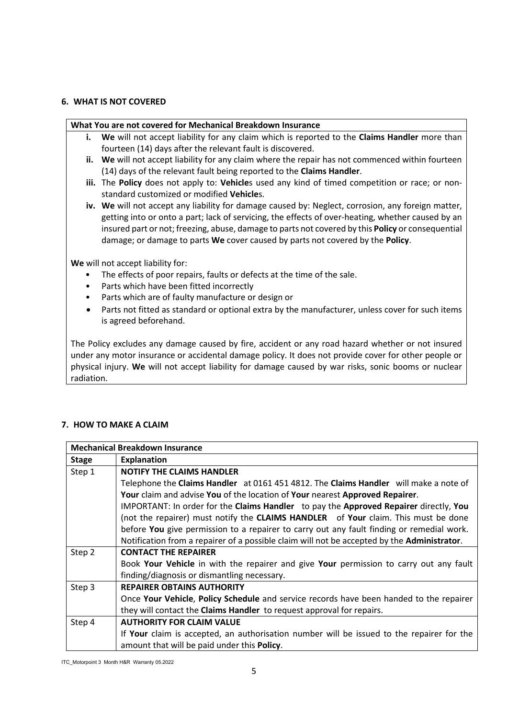## **6. WHAT IS NOT COVERED**

#### **What You are not covered for Mechanical Breakdown Insurance**

- **i. We** will not accept liability for any claim which is reported to the **Claims Handler** more than fourteen (14) days after the relevant fault is discovered.
- **ii. We** will not accept liability for any claim where the repair has not commenced within fourteen (14) days of the relevant fault being reported to the **Claims Handler**.
- **iii.** The **Policy** does not apply to: **Vehicle**s used any kind of timed competition or race; or nonstandard customized or modified **Vehicle**s.
- **iv. We** will not accept any liability for damage caused by: Neglect, corrosion, any foreign matter, getting into or onto a part; lack of servicing, the effects of over-heating, whether caused by an insured part or not; freezing, abuse, damage to parts not covered by this **Policy** or consequential damage; or damage to parts **We** cover caused by parts not covered by the **Policy**.

**We** will not accept liability for:

- The effects of poor repairs, faults or defects at the time of the sale.
- Parts which have been fitted incorrectly
- Parts which are of faulty manufacture or design or
- Parts not fitted as standard or optional extra by the manufacturer, unless cover for such items is agreed beforehand.

The Policy excludes any damage caused by fire, accident or any road hazard whether or not insured under any motor insurance or accidental damage policy. It does not provide cover for other people or physical injury. **We** will not accept liability for damage caused by war risks, sonic booms or nuclear radiation.

## **7. HOW TO MAKE A CLAIM**

| <b>Mechanical Breakdown Insurance</b> |                                                                                                  |  |
|---------------------------------------|--------------------------------------------------------------------------------------------------|--|
| <b>Stage</b>                          | <b>Explanation</b>                                                                               |  |
| Step 1                                | <b>NOTIFY THE CLAIMS HANDLER</b>                                                                 |  |
|                                       | Telephone the Claims Handler at 0161 451 4812. The Claims Handler will make a note of            |  |
|                                       | Your claim and advise You of the location of Your nearest Approved Repairer.                     |  |
|                                       | IMPORTANT: In order for the Claims Handler to pay the Approved Repairer directly, You            |  |
|                                       | (not the repairer) must notify the <b>CLAIMS HANDLER</b> of <b>Your</b> claim. This must be done |  |
|                                       | before You give permission to a repairer to carry out any fault finding or remedial work.        |  |
|                                       | Notification from a repairer of a possible claim will not be accepted by the Administrator.      |  |
| Step 2                                | <b>CONTACT THE REPAIRER</b>                                                                      |  |
|                                       | Book Your Vehicle in with the repairer and give Your permission to carry out any fault           |  |
|                                       | finding/diagnosis or dismantling necessary.                                                      |  |
| Step 3                                | <b>REPAIRER OBTAINS AUTHORITY</b>                                                                |  |
|                                       | Once Your Vehicle, Policy Schedule and service records have been handed to the repairer          |  |
|                                       | they will contact the <b>Claims Handler</b> to request approval for repairs.                     |  |
| Step 4                                | <b>AUTHORITY FOR CLAIM VALUE</b>                                                                 |  |
|                                       | If Your claim is accepted, an authorisation number will be issued to the repairer for the        |  |
|                                       | amount that will be paid under this <b>Policy</b> .                                              |  |

ITC\_Motorpoint 3 Month H&R Warranty 05.2022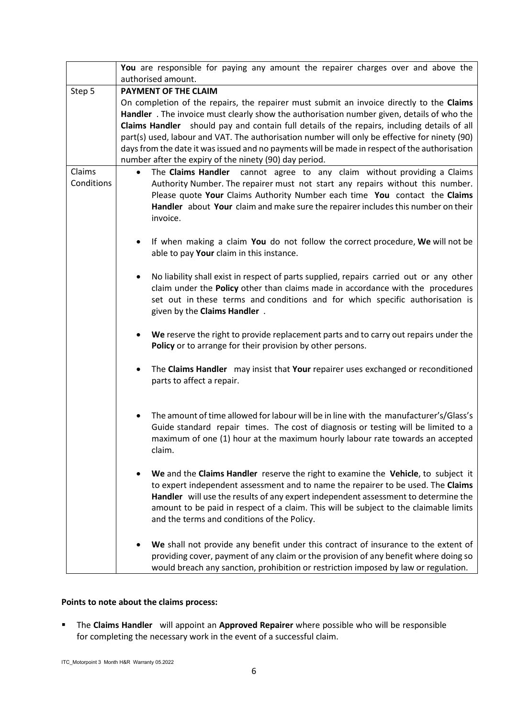|                      | You are responsible for paying any amount the repairer charges over and above the<br>authorised amount.                                                                                                                                                                                                                                                                                                                                                                                                                                          |  |
|----------------------|--------------------------------------------------------------------------------------------------------------------------------------------------------------------------------------------------------------------------------------------------------------------------------------------------------------------------------------------------------------------------------------------------------------------------------------------------------------------------------------------------------------------------------------------------|--|
|                      | PAYMENT OF THE CLAIM                                                                                                                                                                                                                                                                                                                                                                                                                                                                                                                             |  |
| Step 5               | On completion of the repairs, the repairer must submit an invoice directly to the Claims<br>Handler. The invoice must clearly show the authorisation number given, details of who the<br>Claims Handler should pay and contain full details of the repairs, including details of all<br>part(s) used, labour and VAT. The authorisation number will only be effective for ninety (90)<br>days from the date it was issued and no payments will be made in respect of the authorisation<br>number after the expiry of the ninety (90) day period. |  |
| Claims<br>Conditions | The Claims Handler<br>cannot agree to any claim without providing a Claims<br>$\bullet$<br>Authority Number. The repairer must not start any repairs without this number.<br>Please quote Your Claims Authority Number each time You contact the Claims<br>Handler about Your claim and make sure the repairer includes this number on their<br>invoice.                                                                                                                                                                                         |  |
|                      | If when making a claim You do not follow the correct procedure, We will not be<br>$\bullet$<br>able to pay Your claim in this instance.                                                                                                                                                                                                                                                                                                                                                                                                          |  |
|                      | No liability shall exist in respect of parts supplied, repairs carried out or any other<br>claim under the Policy other than claims made in accordance with the procedures<br>set out in these terms and conditions and for which specific authorisation is<br>given by the Claims Handler.                                                                                                                                                                                                                                                      |  |
|                      | We reserve the right to provide replacement parts and to carry out repairs under the<br>Policy or to arrange for their provision by other persons.                                                                                                                                                                                                                                                                                                                                                                                               |  |
|                      | The Claims Handler may insist that Your repairer uses exchanged or reconditioned<br>٠<br>parts to affect a repair.                                                                                                                                                                                                                                                                                                                                                                                                                               |  |
|                      | The amount of time allowed for labour will be in line with the manufacturer's/Glass's<br>Guide standard repair times. The cost of diagnosis or testing will be limited to a<br>maximum of one (1) hour at the maximum hourly labour rate towards an accepted<br>claim.                                                                                                                                                                                                                                                                           |  |
|                      | We and the Claims Handler reserve the right to examine the Vehicle, to subject it<br>to expert independent assessment and to name the repairer to be used. The Claims<br>Handler will use the results of any expert independent assessment to determine the<br>amount to be paid in respect of a claim. This will be subject to the claimable limits<br>and the terms and conditions of the Policy.                                                                                                                                              |  |
|                      | We shall not provide any benefit under this contract of insurance to the extent of<br>providing cover, payment of any claim or the provision of any benefit where doing so<br>would breach any sanction, prohibition or restriction imposed by law or regulation.                                                                                                                                                                                                                                                                                |  |

## **Points to note about the claims process:**

 The **Claims Handler** will appoint an **Approved Repairer** where possible who will be responsible for completing the necessary work in the event of a successful claim.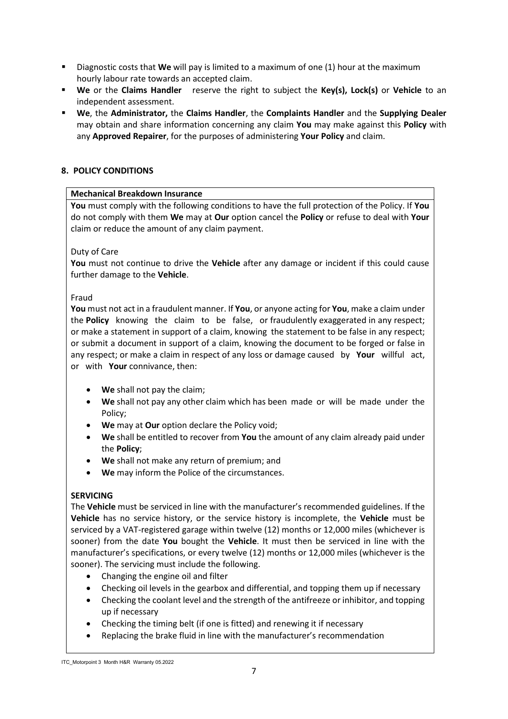- Diagnostic costs that **We** will pay is limited to a maximum of one (1) hour at the maximum hourly labour rate towards an accepted claim.
- **We** or the **Claims Handler** reserve the right to subject the **Key(s), Lock(s)** or **Vehicle** to an independent assessment.
- **We**, the **Administrator,** the **Claims Handler**, the **Complaints Handler** and the **Supplying Dealer** may obtain and share information concerning any claim **You** may make against this **Policy** with any **Approved Repairer**, for the purposes of administering **Your Policy** and claim.

# **8. POLICY CONDITIONS**

## **Mechanical Breakdown Insurance**

**You** must comply with the following conditions to have the full protection of the Policy. If **You** do not comply with them **We** may at **Our** option cancel the **Policy** or refuse to deal with **Your** claim or reduce the amount of any claim payment.

# Duty of Care

**You** must not continue to drive the **Vehicle** after any damage or incident if this could cause further damage to the **Vehicle**.

## Fraud

**You** must not act in a fraudulent manner. If **You**, or anyone acting for **You**, make a claim under the **Policy** knowing the claim to be false, or fraudulently exaggerated in any respect; or make a statement in support of a claim, knowing the statement to be false in any respect; or submit a document in support of a claim, knowing the document to be forged or false in any respect; or make a claim in respect of any loss or damage caused by **Your** willful act, or with **Your** connivance, then:

- **We** shall not pay the claim;
- **We** shall not pay any other claim which has been made or will be made under the Policy;
- **We** may at **Our** option declare the Policy void;
- **We** shall be entitled to recover from **You** the amount of any claim already paid under the **Policy**;
- **We** shall not make any return of premium; and
- **We** may inform the Police of the circumstances.

# **SERVICING**

The **Vehicle** must be serviced in line with the manufacturer's recommended guidelines. If the **Vehicle** has no service history, or the service history is incomplete, the **Vehicle** must be serviced by a VAT-registered garage within twelve (12) months or 12,000 miles (whichever is sooner) from the date **You** bought the **Vehicle**. It must then be serviced in line with the manufacturer's specifications, or every twelve (12) months or 12,000 miles (whichever is the sooner). The servicing must include the following.

- Changing the engine oil and filter
- Checking oil levels in the gearbox and differential, and topping them up if necessary
- Checking the coolant level and the strength of the antifreeze or inhibitor, and topping up if necessary
- Checking the timing belt (if one is fitted) and renewing it if necessary
- Replacing the brake fluid in line with the manufacturer's recommendation

ITC\_Motorpoint 3 Month H&R Warranty 05.2022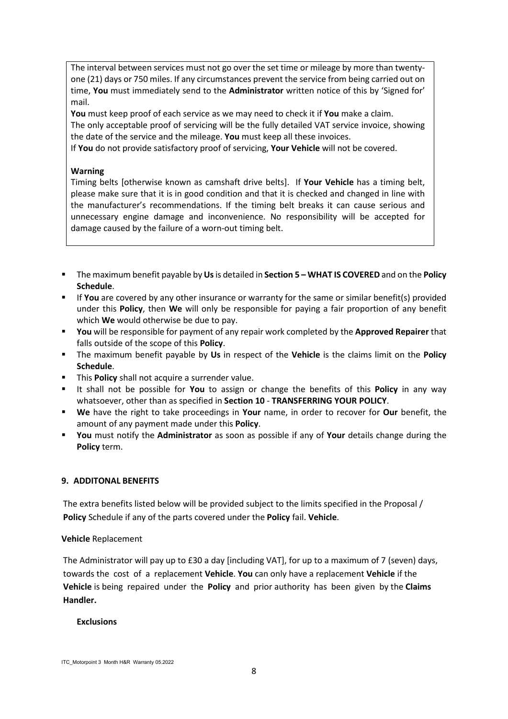The interval between services must not go over the set time or mileage by more than twentyone (21) days or 750 miles. If any circumstances prevent the service from being carried out on time, **You** must immediately send to the **Administrator** written notice of this by 'Signed for' mail.

**You** must keep proof of each service as we may need to check it if **You** make a claim. The only acceptable proof of servicing will be the fully detailed VAT service invoice, showing

the date of the service and the mileage. **You** must keep all these invoices.

If **You** do not provide satisfactory proof of servicing, **Your Vehicle** will not be covered.

#### **Warning**

Timing belts [otherwise known as camshaft drive belts]. If **Your Vehicle** has a timing belt, please make sure that it is in good condition and that it is checked and changed in line with the manufacturer's recommendations. If the timing belt breaks it can cause serious and unnecessary engine damage and inconvenience. No responsibility will be accepted for damage caused by the failure of a worn-out timing belt.

- The maximum benefit payable by **Us**is detailed in **Section 5 – WHAT IS COVERED** and on the **Policy Schedule**.
- If **You** are covered by any other insurance or warranty for the same or similar benefit(s) provided under this **Policy**, then **We** will only be responsible for paying a fair proportion of any benefit which **We** would otherwise be due to pay.
- **You** will be responsible for payment of any repair work completed by the **Approved Repairer** that falls outside of the scope of this **Policy**.
- The maximum benefit payable by **Us** in respect of the **Vehicle** is the claims limit on the **Policy Schedule**.
- **This Policy** shall not acquire a surrender value.
- It shall not be possible for **You** to assign or change the benefits of this **Policy** in any way whatsoever, other than as specified in **Section 10** - **TRANSFERRING YOUR POLICY**.
- **We** have the right to take proceedings in **Your** name, in order to recover for **Our** benefit, the amount of any payment made under this **Policy**.
- **You** must notify the **Administrator** as soon as possible if any of **Your** details change during the **Policy** term.

## **9. ADDITONAL BENEFITS**

The extra benefits listed below will be provided subject to the limits specified in the Proposal / **Policy** Schedule if any of the parts covered under the **Policy** fail. **Vehicle**.

## **Vehicle** Replacement

The Administrator will pay up to £30 a day [including VAT], for up to a maximum of 7 (seven) days, towards the cost of a replacement **Vehicle**. **You** can only have a replacement **Vehicle** if the **Vehicle** is being repaired under the **Policy** and prior authority has been given by the **Claims Handler.** 

#### **Exclusions**

ITC\_Motorpoint 3 Month H&R Warranty 05.2022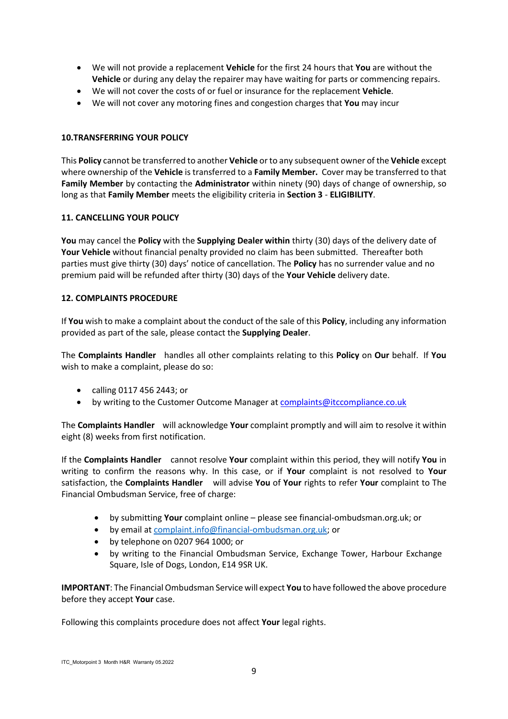- We will not provide a replacement **Vehicle** for the first 24 hours that **You** are without the **Vehicle** or during any delay the repairer may have waiting for parts or commencing repairs.
- We will not cover the costs of or fuel or insurance for the replacement **Vehicle**.
- We will not cover any motoring fines and congestion charges that **You** may incur

# **10.TRANSFERRING YOUR POLICY**

This **Policy** cannot be transferred to another **Vehicle** or to any subsequent owner of the **Vehicle** except where ownership of the **Vehicle** is transferred to a **Family Member.** Cover may be transferred to that **Family Member** by contacting the **Administrator** within ninety (90) days of change of ownership, so long as that **Family Member** meets the eligibility criteria in **Section 3** - **ELIGIBILITY**.

## **11. CANCELLING YOUR POLICY**

**You** may cancel the **Policy** with the **Supplying Dealer within** thirty (30) days of the delivery date of **Your Vehicle** without financial penalty provided no claim has been submitted. Thereafter both parties must give thirty (30) days' notice of cancellation. The **Policy** has no surrender value and no premium paid will be refunded after thirty (30) days of the **Your Vehicle** delivery date.

## **12. COMPLAINTS PROCEDURE**

If **You** wish to make a complaint about the conduct of the sale of this **Policy**, including any information provided as part of the sale, please contact the **Supplying Dealer**.

The **Complaints Handler** handles all other complaints relating to this **Policy** on **Our** behalf. If **You** wish to make a complaint, please do so:

- calling 0117 456 2443; or
- by writing to the Customer Outcome Manager a[t complaints@itccompliance.co.uk](mailto:complaints@itccompliance.co.uk)

The **Complaints Handler** will acknowledge **Your** complaint promptly and will aim to resolve it within eight (8) weeks from first notification.

If the **Complaints Handler** cannot resolve **Your** complaint within this period, they will notify **You** in writing to confirm the reasons why. In this case, or if **Your** complaint is not resolved to **Your** satisfaction, the **Complaints Handler** will advise **You** of **Your** rights to refer **Your** complaint to The Financial Ombudsman Service, free of charge:

- by submitting **Your** complaint online please see financial-ombudsman.org.uk; or
- by email at [complaint.info@financial-ombudsman.org.uk;](mailto:complaint.info@financial-ombudsman.org.uk) or
- by telephone on 0207 964 1000; or
- by writing to the Financial Ombudsman Service, Exchange Tower, Harbour Exchange Square, Isle of Dogs, London, E14 9SR UK.

**IMPORTANT**: The Financial Ombudsman Service will expect **You** to have followed the above procedure before they accept **Your** case.

Following this complaints procedure does not affect **Your** legal rights.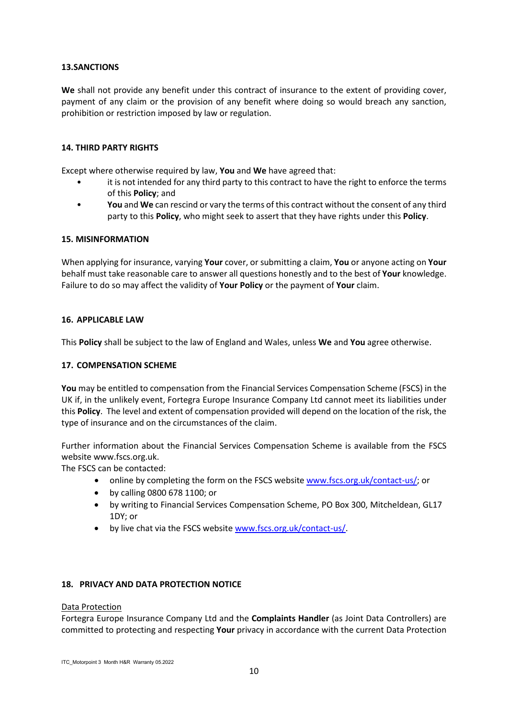## **13.SANCTIONS**

**We** shall not provide any benefit under this contract of insurance to the extent of providing cover, payment of any claim or the provision of any benefit where doing so would breach any sanction, prohibition or restriction imposed by law or regulation.

# **14. THIRD PARTY RIGHTS**

Except where otherwise required by law, **You** and **We** have agreed that:

- it is not intended for any third party to this contract to have the right to enforce the terms of this **Policy**; and
- **You** and **We** can rescind or vary the terms of this contract without the consent of any third party to this **Policy**, who might seek to assert that they have rights under this **Policy**.

## **15. MISINFORMATION**

When applying for insurance, varying **Your** cover, or submitting a claim, **You** or anyone acting on **Your** behalf must take reasonable care to answer all questions honestly and to the best of **Your** knowledge. Failure to do so may affect the validity of **Your Policy** or the payment of **Your** claim.

## **16. APPLICABLE LAW**

This **Policy** shall be subject to the law of England and Wales, unless **We** and **You** agree otherwise.

## **17. COMPENSATION SCHEME**

**You** may be entitled to compensation from the Financial Services Compensation Scheme (FSCS) in the UK if, in the unlikely event, Fortegra Europe Insurance Company Ltd cannot meet its liabilities under this **Policy**. The level and extent of compensation provided will depend on the location of the risk, the type of insurance and on the circumstances of the claim.

Further information about the Financial Services Compensation Scheme is available from the FSCS website www.fscs.org.uk.

The FSCS can be contacted:

- online by completing the form on the FSCS website [www.fscs.org.uk/contact-us/;](http://www.fscs.org.uk/contact-us/) or
- by calling 0800 678 1100; or
- by writing to Financial Services Compensation Scheme, PO Box 300, Mitcheldean, GL17 1DY; or
- by live chat via the FSCS website [www.fscs.org.uk/contact-us/.](http://www.fscs.org.uk/contact-us/)

## **18. PRIVACY AND DATA PROTECTION NOTICE**

#### Data Protection

Fortegra Europe Insurance Company Ltd and the **Complaints Handler** (as Joint Data Controllers) are committed to protecting and respecting **Your** privacy in accordance with the current Data Protection